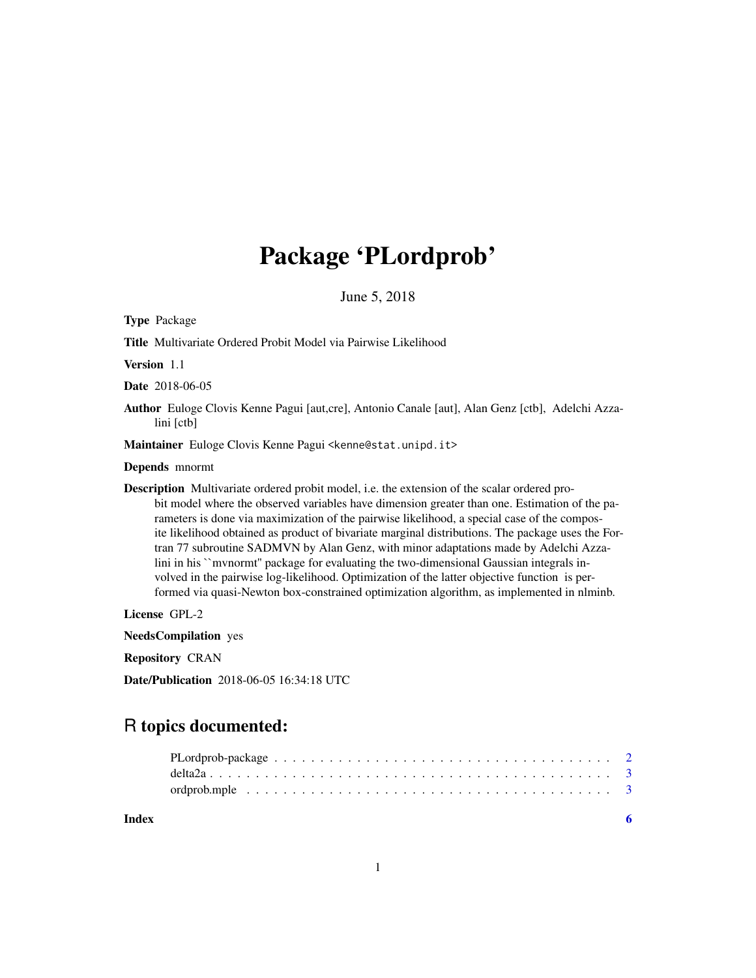## Package 'PLordprob'

June 5, 2018

Type Package

Title Multivariate Ordered Probit Model via Pairwise Likelihood

Version 1.1

Date 2018-06-05

Author Euloge Clovis Kenne Pagui [aut,cre], Antonio Canale [aut], Alan Genz [ctb], Adelchi Azzalini [ctb]

Maintainer Euloge Clovis Kenne Pagui <kenne@stat.unipd.it>

Depends mnormt

Description Multivariate ordered probit model, i.e. the extension of the scalar ordered probit model where the observed variables have dimension greater than one. Estimation of the parameters is done via maximization of the pairwise likelihood, a special case of the composite likelihood obtained as product of bivariate marginal distributions. The package uses the Fortran 77 subroutine SADMVN by Alan Genz, with minor adaptations made by Adelchi Azzalini in his ``mvnormt'' package for evaluating the two-dimensional Gaussian integrals involved in the pairwise log-likelihood. Optimization of the latter objective function is performed via quasi-Newton box-constrained optimization algorithm, as implemented in nlminb.

License GPL-2

NeedsCompilation yes

Repository CRAN

Date/Publication 2018-06-05 16:34:18 UTC

### R topics documented:

**Index** [6](#page-5-0) **6**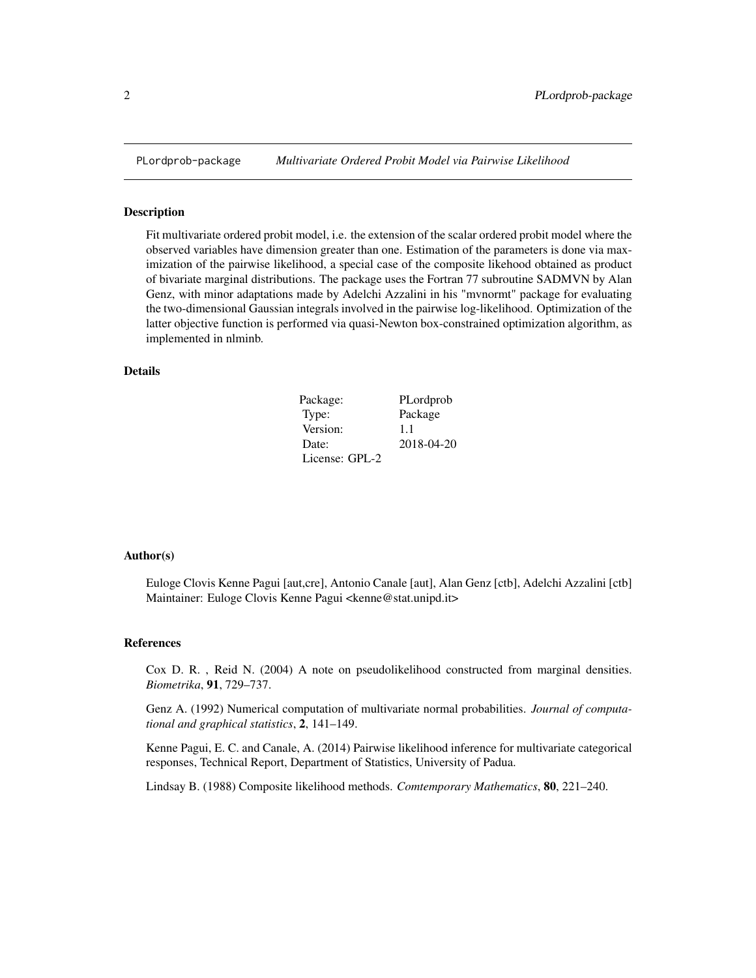<span id="page-1-0"></span>

#### **Description**

Fit multivariate ordered probit model, i.e. the extension of the scalar ordered probit model where the observed variables have dimension greater than one. Estimation of the parameters is done via maximization of the pairwise likelihood, a special case of the composite likehood obtained as product of bivariate marginal distributions. The package uses the Fortran 77 subroutine SADMVN by Alan Genz, with minor adaptations made by Adelchi Azzalini in his "mvnormt" package for evaluating the two-dimensional Gaussian integrals involved in the pairwise log-likelihood. Optimization of the latter objective function is performed via quasi-Newton box-constrained optimization algorithm, as implemented in nlminb.

#### Details

| Package:       | PLordprob  |
|----------------|------------|
| Type:          | Package    |
| Version:       | 1.1        |
| Date:          | 2018-04-20 |
| License: GPL-2 |            |

#### Author(s)

Euloge Clovis Kenne Pagui [aut,cre], Antonio Canale [aut], Alan Genz [ctb], Adelchi Azzalini [ctb] Maintainer: Euloge Clovis Kenne Pagui <kenne@stat.unipd.it>

#### References

Cox D. R. , Reid N. (2004) A note on pseudolikelihood constructed from marginal densities. *Biometrika*, 91, 729–737.

Genz A. (1992) Numerical computation of multivariate normal probabilities. *Journal of computational and graphical statistics*, 2, 141–149.

Kenne Pagui, E. C. and Canale, A. (2014) Pairwise likelihood inference for multivariate categorical responses, Technical Report, Department of Statistics, University of Padua.

Lindsay B. (1988) Composite likelihood methods. *Comtemporary Mathematics*, 80, 221–240.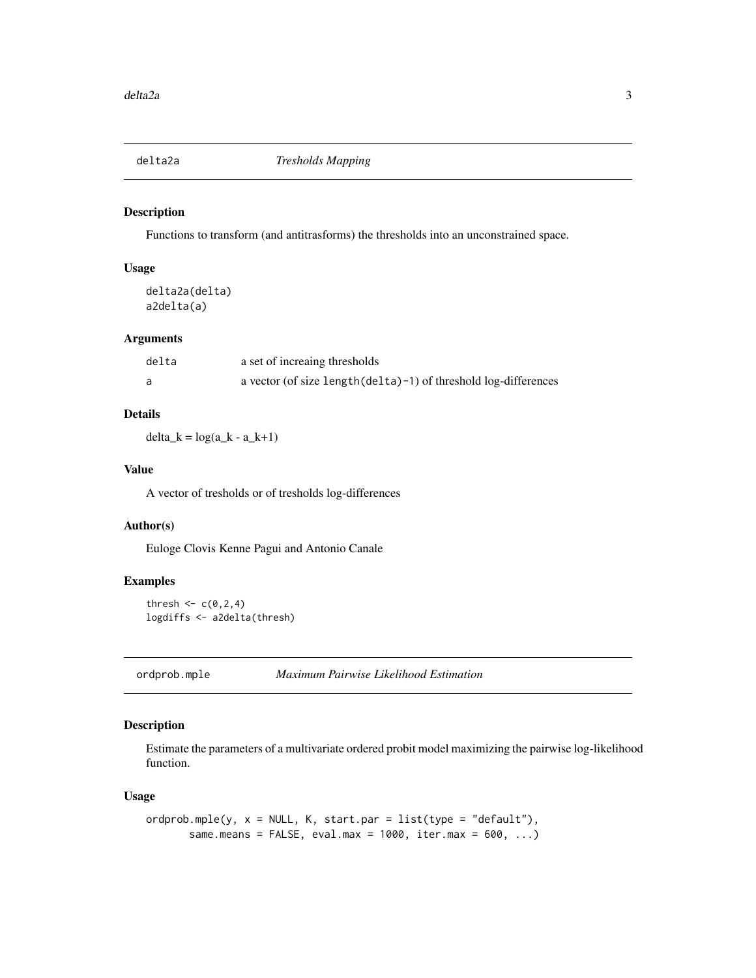<span id="page-2-0"></span>

#### Description

Functions to transform (and antitrasforms) the thresholds into an unconstrained space.

#### Usage

delta2a(delta) a2delta(a)

#### Arguments

| delta | a set of increaing thresholds                                       |
|-------|---------------------------------------------------------------------|
|       | a vector (of size length $(delta)-1$ ) of threshold log-differences |

#### Details

 $delta_k = log(a_k - a_k + 1)$ 

#### Value

A vector of tresholds or of tresholds log-differences

#### Author(s)

Euloge Clovis Kenne Pagui and Antonio Canale

#### Examples

thresh  $\leq c(0,2,4)$ logdiffs <- a2delta(thresh)

ordprob.mple *Maximum Pairwise Likelihood Estimation*

#### Description

Estimate the parameters of a multivariate ordered probit model maximizing the pairwise log-likelihood function.

#### Usage

```
ordprob.\text{mple}(y, x = \text{NULL}, K, start.\text{par} = list(type = "default"),same.means = FALSE, eval.max = 1000, iter.max = 600, ...)
```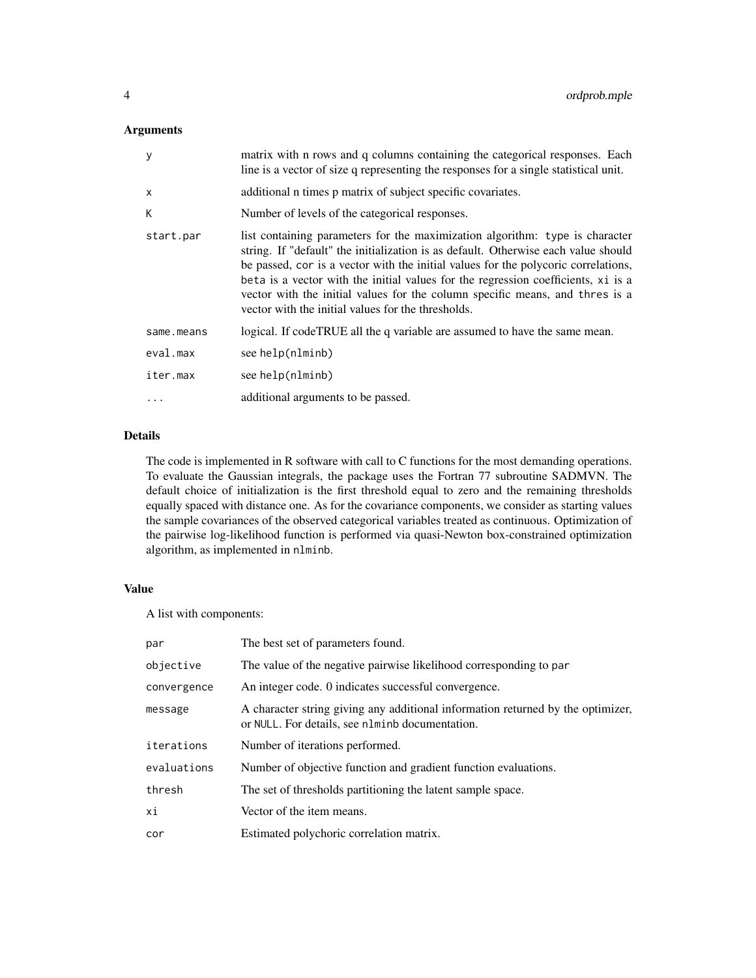#### Arguments

| y          | matrix with n rows and q columns containing the categorical responses. Each<br>line is a vector of size q representing the responses for a single statistical unit.                                                                                                                                                                                                                                                                                                                 |
|------------|-------------------------------------------------------------------------------------------------------------------------------------------------------------------------------------------------------------------------------------------------------------------------------------------------------------------------------------------------------------------------------------------------------------------------------------------------------------------------------------|
| $\times$   | additional n times p matrix of subject specific covariates.                                                                                                                                                                                                                                                                                                                                                                                                                         |
| K          | Number of levels of the categorical responses.                                                                                                                                                                                                                                                                                                                                                                                                                                      |
| start.par  | list containing parameters for the maximization algorithm: type is character<br>string. If "default" the initialization is as default. Otherwise each value should<br>be passed, cor is a vector with the initial values for the polycoric correlations,<br>beta is a vector with the initial values for the regression coefficients, xi is a<br>vector with the initial values for the column specific means, and thres is a<br>vector with the initial values for the thresholds. |
| same.means | logical. If codeTRUE all the q variable are assumed to have the same mean.                                                                                                                                                                                                                                                                                                                                                                                                          |
| eval.max   | see help(nlminb)                                                                                                                                                                                                                                                                                                                                                                                                                                                                    |
| iter.max   | see help(nlminb)                                                                                                                                                                                                                                                                                                                                                                                                                                                                    |
|            | additional arguments to be passed.                                                                                                                                                                                                                                                                                                                                                                                                                                                  |

#### Details

The code is implemented in R software with call to C functions for the most demanding operations. To evaluate the Gaussian integrals, the package uses the Fortran 77 subroutine SADMVN. The default choice of initialization is the first threshold equal to zero and the remaining thresholds equally spaced with distance one. As for the covariance components, we consider as starting values the sample covariances of the observed categorical variables treated as continuous. Optimization of the pairwise log-likelihood function is performed via quasi-Newton box-constrained optimization algorithm, as implemented in nlminb.

#### Value

A list with components:

| par         | The best set of parameters found.                                                                                                  |
|-------------|------------------------------------------------------------------------------------------------------------------------------------|
| objective   | The value of the negative pairwise likelihood corresponding to par                                                                 |
| convergence | An integer code. 0 indicates successful convergence.                                                                               |
| message     | A character string giving any additional information returned by the optimizer,<br>or NULL. For details, see nlminb documentation. |
| iterations  | Number of iterations performed.                                                                                                    |
| evaluations | Number of objective function and gradient function evaluations.                                                                    |
| thresh      | The set of thresholds partitioning the latent sample space.                                                                        |
| хi          | Vector of the item means.                                                                                                          |
| cor         | Estimated polychoric correlation matrix.                                                                                           |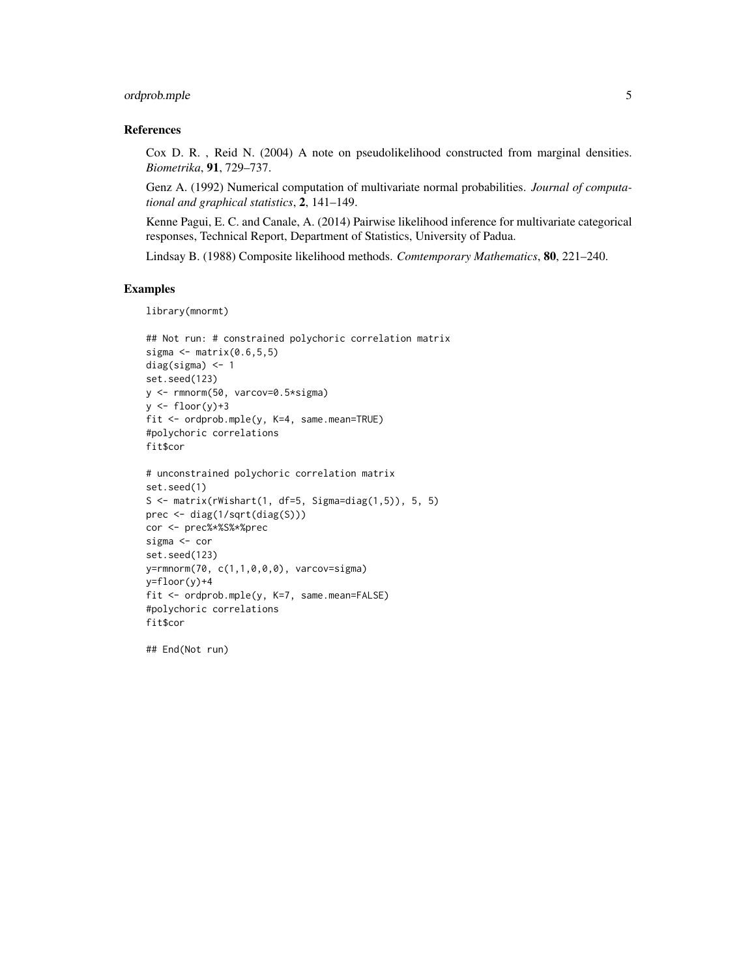#### ordprob.mple 5

#### References

Cox D. R. , Reid N. (2004) A note on pseudolikelihood constructed from marginal densities. *Biometrika*, 91, 729–737.

Genz A. (1992) Numerical computation of multivariate normal probabilities. *Journal of computational and graphical statistics*, 2, 141–149.

Kenne Pagui, E. C. and Canale, A. (2014) Pairwise likelihood inference for multivariate categorical responses, Technical Report, Department of Statistics, University of Padua.

Lindsay B. (1988) Composite likelihood methods. *Comtemporary Mathematics*, 80, 221–240.

#### Examples

```
library(mnormt)
```

```
## Not run: # constrained polychoric correlation matrix
sigma \leq matrix(0.6,5,5)
diag(sigma) <- 1
set.seed(123)
y <- rmnorm(50, varcov=0.5*sigma)
y \leftarrow floor(y)+3
fit <- ordprob.mple(y, K=4, same.mean=TRUE)
#polychoric correlations
fit$cor
# unconstrained polychoric correlation matrix
set.seed(1)
S \leq matrix(rWishart(1, df=5, Sigma=diag(1,5)), 5, 5)
prec <- diag(1/sqrt(diag(S)))
cor <- prec%*%S%*%prec
sigma <- cor
set.seed(123)
y=rmnorm(70, c(1,1,0,0,0), varcov=sigma)
y=floor(y)+4
fit <- ordprob.mple(y, K=7, same.mean=FALSE)
#polychoric correlations
fit$cor
```
## End(Not run)